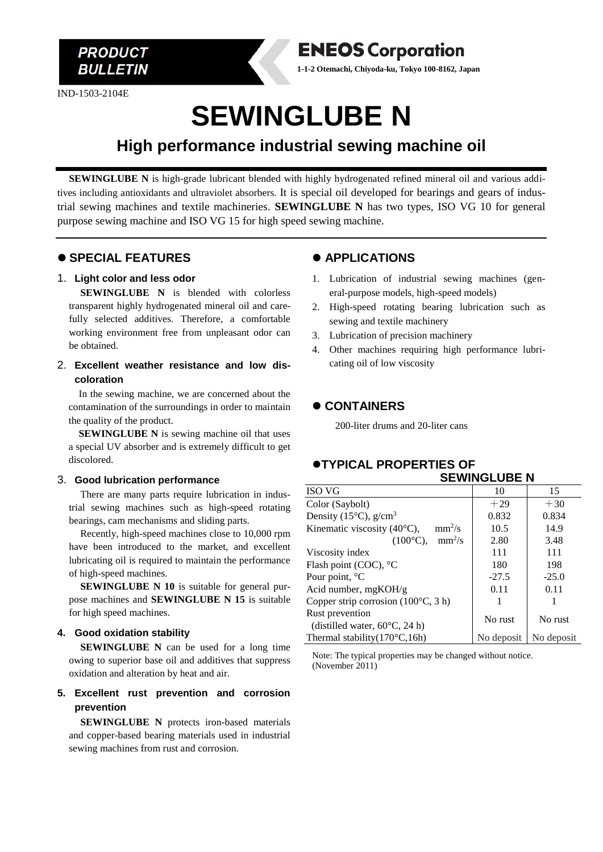**PRODUCT BULLETIN** 

IND-1503-2104E

**ENEOS Corporation 1-1-2 Otemachi, Chiyoda-ku, Tokyo 100-8162, Japan**

# **SEWINGLUBE N**

# **High performance industrial sewing machine oil**

**SEWINGLUBE N** is high-grade lubricant blended with highly hydrogenated refined mineral oil and various additives including antioxidants and ultraviolet absorbers. It is special oil developed for bearings and gears of industrial sewing machines and textile machineries. **SEWINGLUBE N** has two types, ISO VG 10 for general purpose sewing machine and ISO VG 15 for high speed sewing machine.

# ⚫ **SPECIAL FEATURES**

#### 1. **Light color and less odor**

**SEWINGLUBE N** is blended with colorless transparent highly hydrogenated mineral oil and carefully selected additives. Therefore, a comfortable working environment free from unpleasant odor can be obtained.

2. **Excellent weather resistance and low discoloration**

In the sewing machine, we are concerned about the contamination of the surroundings in order to maintain the quality of the product.

**SEWINGLUBE N** is sewing machine oil that uses a special UV absorber and is extremely difficult to get discolored.

#### 3. **Good lubrication performance**

There are many parts require lubrication in industrial sewing machines such as high-speed rotating bearings, cam mechanisms and sliding parts.

Recently, high-speed machines close to 10,000 rpm have been introduced to the market, and excellent lubricating oil is required to maintain the performance of high-speed machines.

**SEWINGLUBE N 10** is suitable for general purpose machines and **SEWINGLUBE N 15** is suitable for high speed machines.

#### **4. Good oxidation stability**

**SEWINGLUBE N** can be used for a long time owing to superior base oil and additives that suppress oxidation and alteration by heat and air.

# **5. Excellent rust prevention and corrosion prevention**

**SEWINGLUBE N** protects iron-based materials and copper-based bearing materials used in industrial sewing machines from rust and corrosion.

# ⚫ **APPLICATIONS**

- 1. Lubrication of industrial sewing machines (general-purpose models, high-speed models)
- 2. High-speed rotating bearing lubrication such as sewing and textile machinery
- 3. Lubrication of precision machinery
- 4. Other machines requiring high performance lubricating oil of low viscosity

# ⚫ **CONTAINERS**

200-liter drums and 20-liter cans

#### ⚫**TYPICAL PROPERTIES OF SEWINGLUBE N**

| <b>ISO VG</b>                                              | 10         | 15         |  |
|------------------------------------------------------------|------------|------------|--|
| Color (Saybolt)                                            | $+29$      | $+30$      |  |
| Density (15 $^{\circ}$ C), g/cm <sup>3</sup>               | 0.832      | 0.834      |  |
| $mm^2/s$<br>Kinematic viscosity (40°C),                    | 10.5       | 14.9       |  |
| $mm^2/s$<br>$(100^{\circ}C)$ ,                             | 2.80       | 3.48       |  |
| Viscosity index                                            | 111        | 111        |  |
| Flash point (COC), °C                                      | 180        | 198        |  |
| Pour point, °C                                             | $-27.5$    | $-25.0$    |  |
| Acid number, mgKOH/g                                       | 0.11       | 0.11       |  |
| Copper strip corrosion $(100^{\circ}C, 3 h)$               |            |            |  |
| Rust prevention<br>(distilled water, $60^{\circ}$ C, 24 h) | No rust    | No rust    |  |
| Thermal stability $(170^{\circ}C, 16h)$                    | No deposit | No deposit |  |

Note: The typical properties may be changed without notice. (November 2011)